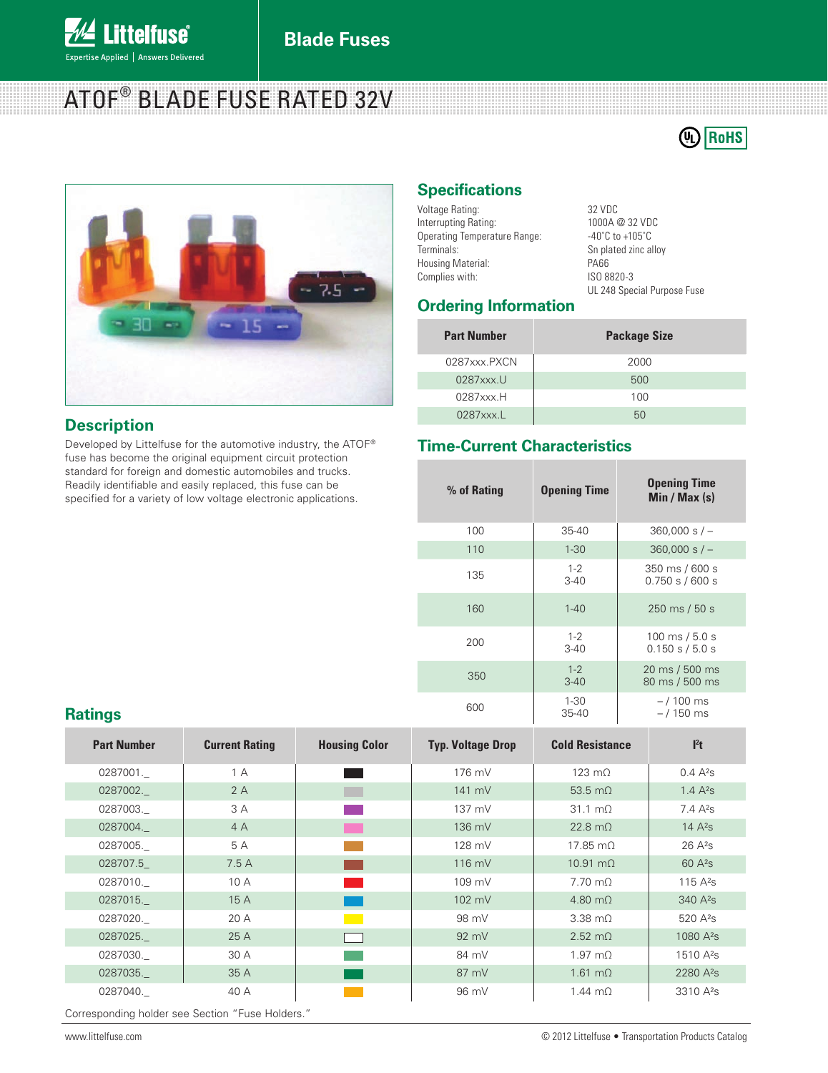

# ATOF® BLADE FUSE RATED 32V





#### **Description**

Developed by Littelfuse for the automotive industry, the ATOF® fuse has become the original equipment circuit protection standard for foreign and domestic automobiles and trucks. Readily identifiable and easily replaced, this fuse can be specified for a variety of low voltage electronic applications.

### **Specifications**

 $32$  VDC 1000A @ 32 VDC  $-40^\circ$ C to  $+105^\circ$ C Sn plated zinc alloy PA66 Complies with: ISO 8820-3 UL 248 Special Purpose Fuse

#### **Ordering Information**

| <b>Part Number</b>       | <b>Package Size</b> |
|--------------------------|---------------------|
| 0287xxx.PXCN             | 2000                |
| $0287$ xxx.U             | 500                 |
| $0287$ xxx. $H$          | 100                 |
| $0287$ xxx. $\mathsf{L}$ | 50                  |

#### **Time-Current Characteristics**

| standard for foreign and domestic automobiles and trucks.<br>Readily identifiable and easily replaced, this fuse can be<br>specified for a variety of low voltage electronic applications. | % of Rating | <b>Opening Time</b> | <b>Opening Time</b><br>Min / Max $(s)$                |
|--------------------------------------------------------------------------------------------------------------------------------------------------------------------------------------------|-------------|---------------------|-------------------------------------------------------|
|                                                                                                                                                                                            | 100         | $35 - 40$           | $360,000 s/-$                                         |
|                                                                                                                                                                                            | 110         | $1 - 30$            | $360,000 s/-$                                         |
|                                                                                                                                                                                            | 135         | $1 - 2$<br>$3 - 40$ | 350 ms / 600 s<br>0.750 s / 600 s                     |
|                                                                                                                                                                                            | 160         | $1 - 40$            | 250 ms / 50 s                                         |
|                                                                                                                                                                                            | 200         | $1 - 2$<br>$3-40$   | $100 \text{ ms} / 5.0 \text{ s}$<br>$0.150$ s / 5.0 s |
|                                                                                                                                                                                            | 350         | $1 - 2$<br>$3 - 40$ | 20 ms / 500 ms<br>80 ms / 500 ms                      |
| <b>Ratings</b>                                                                                                                                                                             | 600         | $1 - 30$<br>35-40   | $-/100$ ms<br>$-/150$ ms                              |

| <b>Part Number</b> | <b>Current Rating</b> | <b>Housing Color</b> | <b>Typ. Voltage Drop</b> | <b>Cold Resistance</b>    | $l^2t$                |
|--------------------|-----------------------|----------------------|--------------------------|---------------------------|-----------------------|
| 0287001.           | 1 A                   |                      | 176 mV                   | $123 \text{ m}$           | $0.4 \text{ A}^{2}$ S |
| 0287002.           | 2A                    | a sa t               | 141 mV                   | 53.5 $m\Omega$            | 1.4 $A^{2}S$          |
| 0287003.           | 3 A                   |                      | 137 mV                   | $31.1 \text{ m}$ $\Omega$ | $7.4 \text{ A}^{2}$ S |
| 0287004.           | 4A                    | <b>The Co</b>        | $136$ mV                 | $22.8 \text{ m}$          | 14 $A^{2}S$           |
| 0287005.           | 5 A                   |                      | 128 mV                   | $17.85 \text{ m}$         | $26A^2s$              |
| 028707.5           | 7.5A                  |                      | $116$ mV                 | $10.91 \text{ m}$         | $60A^{2}s$            |
| 0287010.           | 10A                   |                      | $109 \text{ mV}$         | $7.70 \text{ m}$          | 115 $A^2S$            |
| 0287015.           | 15 A                  |                      | 102 mV                   | $4.80 \text{ m}$          | $340A^{2}s$           |
| 0287020.           | 20 A                  |                      | 98 mV                    | $3.38 \text{ m}$          | $520 \text{ A}^2$ s   |
| 0287025.           | 25 A                  |                      | $92 \text{ mV}$          | $2.52 \text{ m}$          | $1080A^{2}s$          |
| 0287030.           | 30 A                  |                      | 84 mV                    | $1.97 \text{ m}$          | $1510A^2s$            |
| 0287035.           | 35 A                  |                      | 87 mV                    | $1.61 \text{ m}\Omega$    | $2280A^{2}s$          |
| 0287040.           | 40 A                  |                      | 96 mV                    | $1.44 \text{ m}\Omega$    | 3310 A <sup>2</sup> s |

Corresponding holder see Section "Fuse Holders."